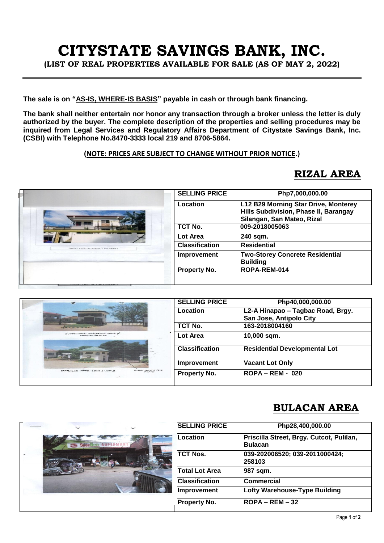# **CITYSTATE SAVINGS BANK, INC.**

**(LIST OF REAL PROPERTIES AVAILABLE FOR SALE (AS OF MAY 2, 2022)**

**The sale is on "AS-IS, WHERE-IS BASIS" payable in cash or through bank financing.**

**The bank shall neither entertain nor honor any transaction through a broker unless the letter is duly authorized by the buyer. The complete description of the properties and selling procedures may be inquired from Legal Services and Regulatory Affairs Department of Citystate Savings Bank, Inc. (CSBI) with Telephone No.8470-3333 local 219 and 8706-5864.** 

#### **(NOTE: PRICES ARE SUBJECT TO CHANGE WITHOUT PRIOR NOTICE.)**

#### **RIZAL AREA**

|                          | <b>SELLING PRICE</b>  | Php7,000,000.00                                                                                             |
|--------------------------|-----------------------|-------------------------------------------------------------------------------------------------------------|
| MEDAL CARE SELIES EFSCHE | Location              | L12 B29 Morning Star Drive, Monterey<br>Hills Subdivision, Phase II, Barangay<br>Silangan, San Mateo, Rizal |
|                          | TCT No.               | 009-2018005063                                                                                              |
|                          | Lot Area              | 240 sqm.                                                                                                    |
|                          | <b>Classification</b> | <b>Residential</b>                                                                                          |
|                          | Improvement           | <b>Two-Storey Concrete Residential</b><br><b>Building</b>                                                   |
|                          | <b>Property No.</b>   | ROPA-REM-014                                                                                                |
|                          |                       |                                                                                                             |

| $\overline{\phantom{a}}$                        | <b>SELLING PRICE</b>  | Php40,000,000.00                                             |
|-------------------------------------------------|-----------------------|--------------------------------------------------------------|
|                                                 | Location              | L2-A Hinapao - Tagbac Road, Brgy.<br>San Jose, Antipolo City |
|                                                 | TCT No.               | 163-2018004160                                               |
| SUBDIVISION ENTRANCE SATE &<br>CHILA-CONTRACTOR | Lot Area              | 10,000 sqm.                                                  |
|                                                 | <b>Classification</b> | <b>Residential Developmental Lot</b>                         |
|                                                 | Improvement           | <b>Vacant Lot Only</b>                                       |
| $H + DAP = TIRBC$<br>EUVERNICE GATE (BACK VIEW) | Property No.          | $ROPA - REM - 020$                                           |

### **BULACAN AREA**